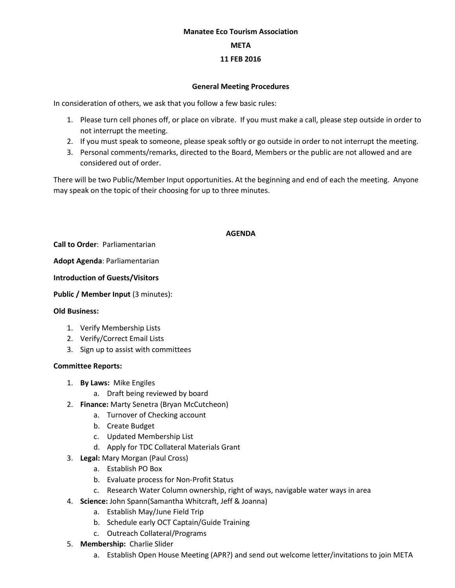### **Manatee Eco Tourism Association**

#### **META**

## **11 FEB 2016**

### **General Meeting Procedures**

In consideration of others, we ask that you follow a few basic rules:

- 1. Please turn cell phones off, or place on vibrate. If you must make a call, please step outside in order to not interrupt the meeting.
- 2. If you must speak to someone, please speak softly or go outside in order to not interrupt the meeting.
- 3. Personal comments/remarks, directed to the Board, Members or the public are not allowed and are considered out of order.

There will be two Public/Member Input opportunities. At the beginning and end of each the meeting. Anyone may speak on the topic of their choosing for up to three minutes.

### **AGENDA**

**Call to Order**: Parliamentarian

**Adopt Agenda**: Parliamentarian

**Introduction of Guests/Visitors**

**Public / Member Input (3 minutes):** 

### **Old Business:**

- 1. Verify Membership Lists
- 2. Verify/Correct Email Lists
- 3. Sign up to assist with committees

### **Committee Reports:**

- 1. **By Laws:** Mike Engiles
	- a. Draft being reviewed by board
- 2. **Finance:** Marty Senetra (Bryan McCutcheon)
	- a. Turnover of Checking account
	- b. Create Budget
	- c. Updated Membership List
	- d. Apply for TDC Collateral Materials Grant
- 3. **Legal:** Mary Morgan (Paul Cross)
	- a. Establish PO Box
	- b. Evaluate process for Non-Profit Status
	- c. Research Water Column ownership, right of ways, navigable water ways in area
- 4. **Science:** John Spann(Samantha Whitcraft, Jeff & Joanna)
	- a. Establish May/June Field Trip
	- b. Schedule early OCT Captain/Guide Training
	- c. Outreach Collateral/Programs
- 5. **Membership:** Charlie Slider
	- a. Establish Open House Meeting (APR?) and send out welcome letter/invitations to join META